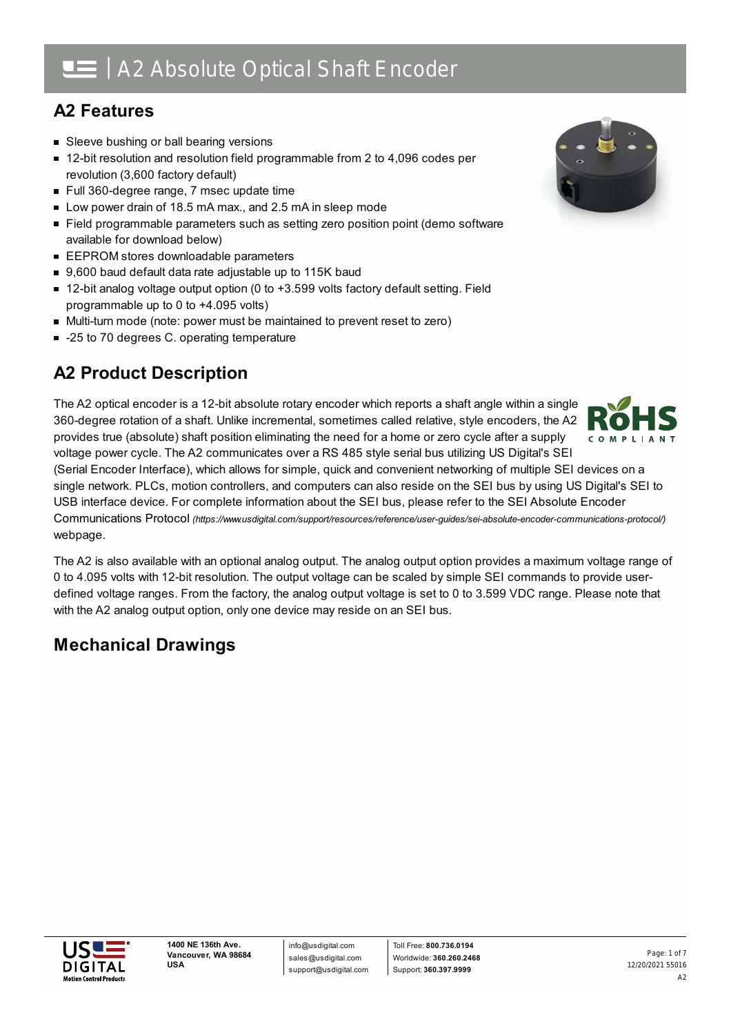## **A2 Features**

- **Sleeve bushing or ball bearing versions**
- 12-bit resolution and resolution field programmable from 2 to 4,096 codes per revolution (3,600 factory default)
- Full 360-degree range, 7 msec update time
- Low power drain of 18.5 mA max., and 2.5 mA in sleep mode
- Field programmable parameters such as setting zero position point (demo software available for download below)
- **EEPROM stores downloadable parameters**
- 9,600 baud default data rate adjustable up to 115K baud
- 12-bit analog voltage output option (0 to +3.599 volts factory default setting. Field programmable up to 0 to +4.095 volts)
- Multi-turn mode (note: power must be maintained to prevent reset to zero)
- -25 to 70 degrees C. operating temperature

## **A2 Product Description**

The A2 optical encoder is a 12-bit absolute rotary encoder which reports a shaft angle within a single 360-degree rotation of a shaft. Unlike incremental, sometimes called relative, style encoders, the A2 provides true (absolute) shaft position eliminating the need for a home or zero cycle after a supply voltage power cycle. The A2 communicates over a RS 485 style serial bus utilizing US Digital's SEI

(Serial Encoder Interface), which allows for simple, quick and convenient networking of multiple SEI devices on a single network. PLCs, motion controllers, and computers can also reside on the SEI bus by using US Digital's SEI to USB interface device. For complete information about the SEI bus, please refer to the SEI Absolute Encoder Communications Protocol *[\(https://www.usdigital.com/support/resources/reference/user-guides/sei-absolute-encoder-communications-protocol/\)](https://www.usdigital.com/support/resources/reference/user-guides/sei-absolute-encoder-communications-protocol/)* webpage.

The A2 is also available with an optional analog output. The analog output option provides a maximum voltage range of 0 to 4.095 volts with 12-bit resolution. The output voltage can be scaled by simple SEI commands to provide userdefined voltage ranges. From the factory, the analog output voltage is set to 0 to 3.599 VDC range. Please note that with the A2 analog output option, only one device may reside on an SEI bus.

## **Mechanical Drawings**





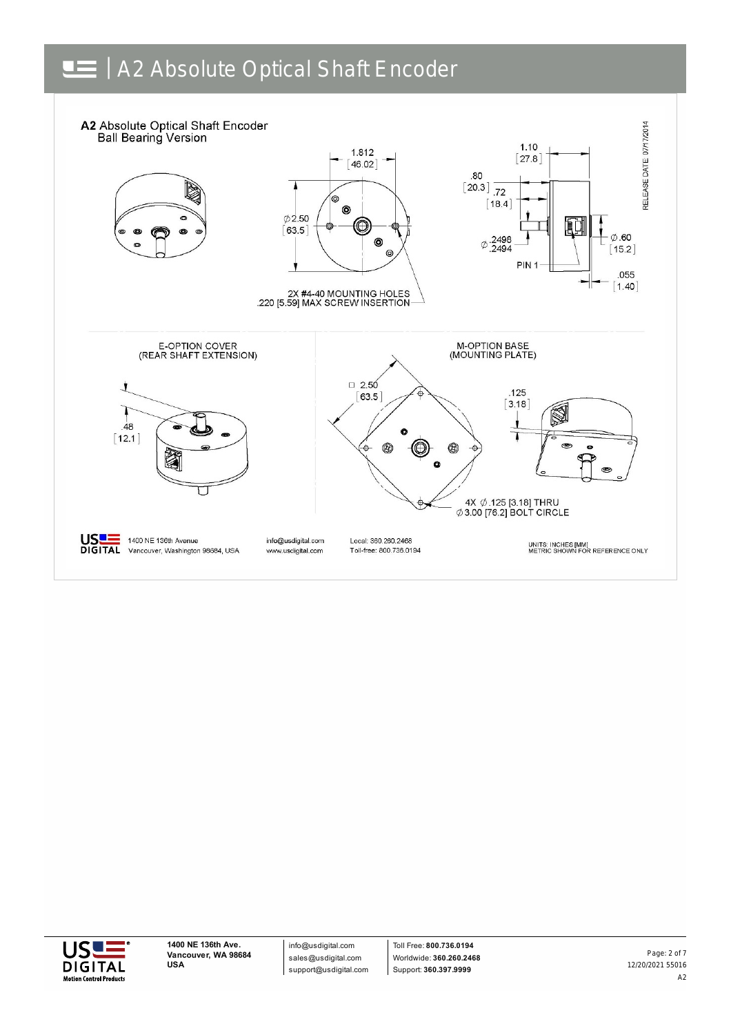



info@usdigital.com sales@usdigital.com support@usdigital.com

Toll Free: **800.736.0194** Worldwide: **360.260.2468** Support: **360.397.9999**

12/20/2021 55016 A2 Page: 2 of 7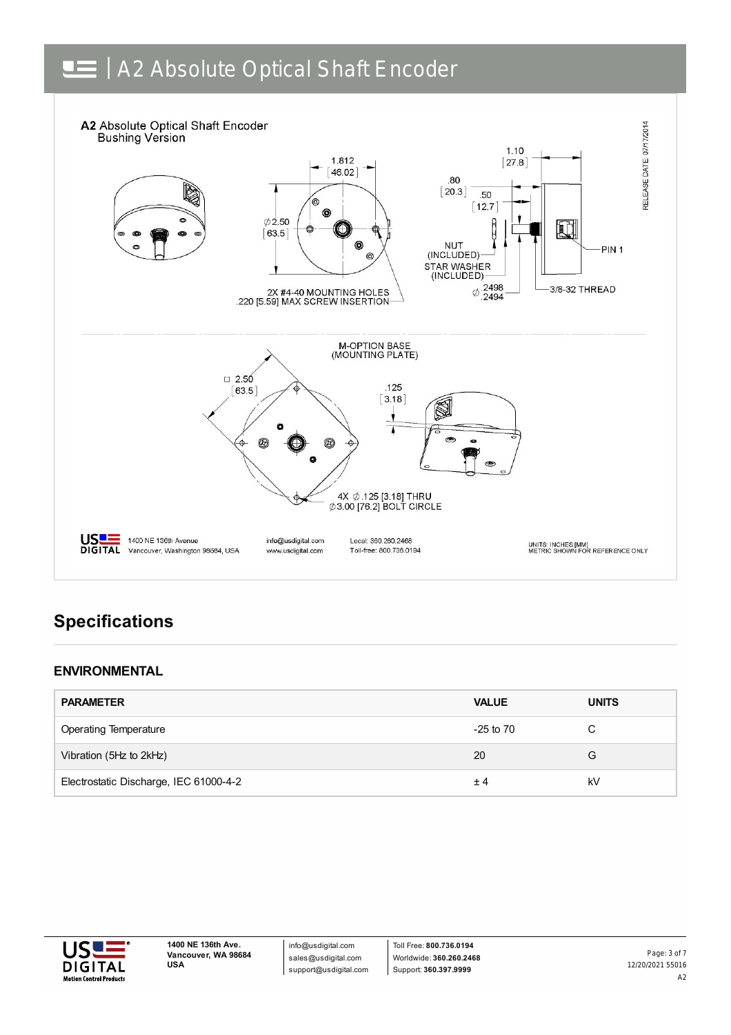

## **Specifications**

#### **ENVIRONMENTAL**

| <b>PARAMETER</b>                       | <b>VALUE</b>  | <b>UNITS</b> |
|----------------------------------------|---------------|--------------|
| <b>Operating Temperature</b>           | $-25$ to $70$ |              |
| Vibration (5Hz to 2kHz)                | 20            | G            |
| Electrostatic Discharge, IEC 61000-4-2 | ±4            | kV           |



info@usdigital.com sales@usdigital.com support@usdigital.com

Toll Free: **800.736.0194** Worldwide: **360.260.2468** Support: **360.397.9999**

12/20/2021 55016 A2 Page: 3 of 7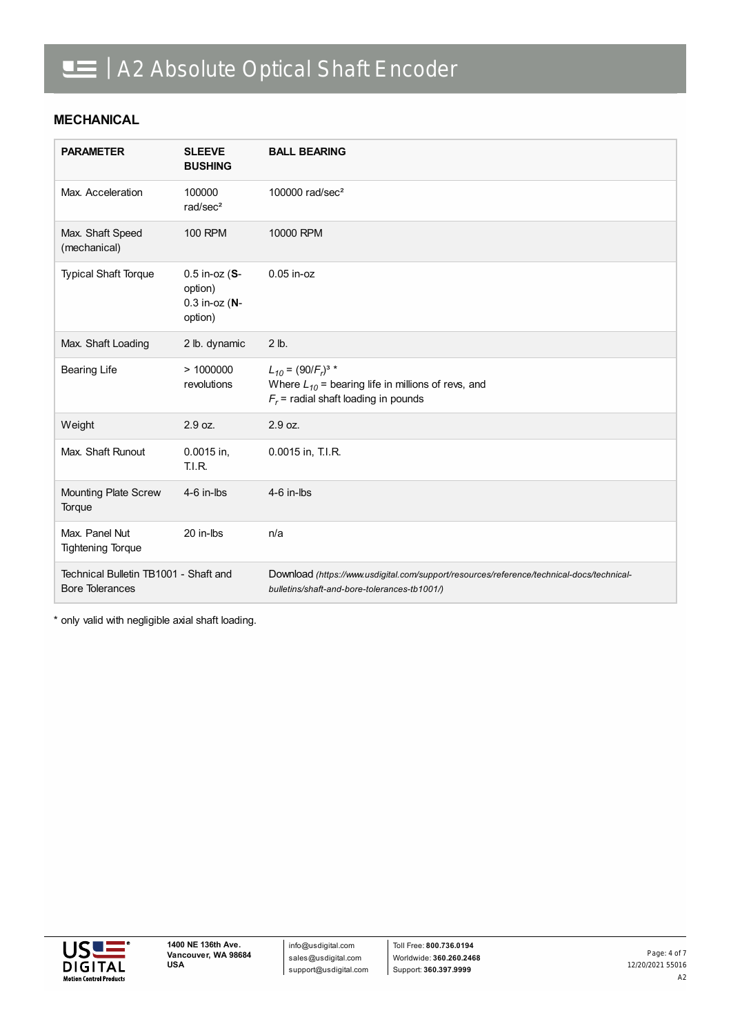#### **MECHANICAL**

| <b>PARAMETER</b>                                                | <b>SLEEVE</b><br><b>BUSHING</b>                                  | <b>BALL BEARING</b>                                                                                                                       |
|-----------------------------------------------------------------|------------------------------------------------------------------|-------------------------------------------------------------------------------------------------------------------------------------------|
| Max. Acceleration                                               | 100000<br>rad/sec <sup>2</sup>                                   | 100000 $rad/sec2$                                                                                                                         |
| Max. Shaft Speed<br>(mechanical)                                | <b>100 RPM</b>                                                   | 10000 RPM                                                                                                                                 |
| <b>Typical Shaft Torque</b>                                     | $0.5$ in-oz $(S - )$<br>option)<br>$0.3$ in-oz $(N -$<br>option) | $0.05$ in-oz                                                                                                                              |
| Max. Shaft Loading                                              | 2 lb. dynamic                                                    | $2$ lb.                                                                                                                                   |
| <b>Bearing Life</b>                                             | >1000000<br>revolutions                                          | $L_{10} = (90/F_r)^{3}$ *<br>Where $L_{10}$ = bearing life in millions of revs, and<br>$F_r$ = radial shaft loading in pounds             |
| Weight                                                          | 2.9 oz.                                                          | 2.9 oz.                                                                                                                                   |
| Max. Shaft Runout                                               | 0.0015 in,<br><b>T.I.R.</b>                                      | 0.0015 in, T.I.R.                                                                                                                         |
| Mounting Plate Screw<br>Torque                                  | $4-6$ in-lbs                                                     | $4-6$ in-lbs                                                                                                                              |
| Max. Panel Nut<br><b>Tightening Torque</b>                      | 20 in-lbs                                                        | n/a                                                                                                                                       |
| Technical Bulletin TB1001 - Shaft and<br><b>Bore Tolerances</b> |                                                                  | Download (https://www.usdigital.com/support/resources/reference/technical-docs/technical-<br>bulletins/shaft-and-bore-tolerances-tb1001/) |

\* only valid with negligible axial shaft loading.

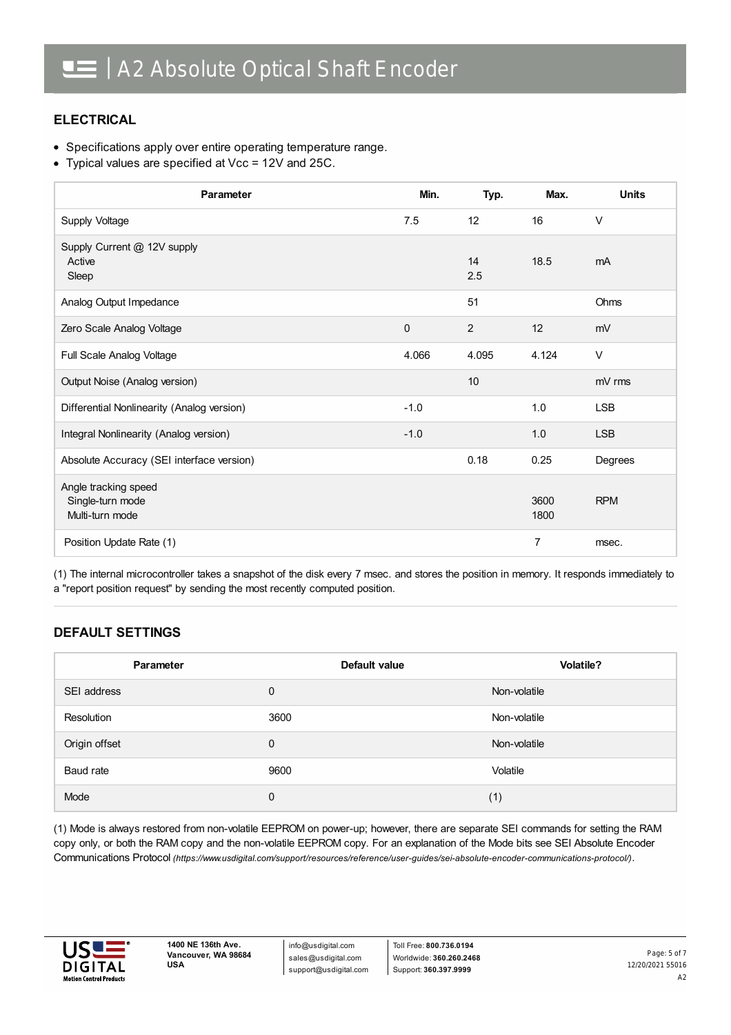#### **ELECTRICAL**

- Specifications apply over entire operating temperature range.
- Typical values are specified at Vcc = 12V and 25C.

| Parameter                                                   | Min.         | Typ.            | Max.         | <b>Units</b> |
|-------------------------------------------------------------|--------------|-----------------|--------------|--------------|
| Supply Voltage                                              | 7.5          | 12 <sup>2</sup> | 16           | $\vee$       |
| Supply Current @ 12V supply<br>Active<br>Sleep              |              | 14<br>2.5       | 18.5         | mA           |
| Analog Output Impedance                                     |              | 51              |              | Ohms         |
| Zero Scale Analog Voltage                                   | $\mathbf{0}$ | 2               | 12           | mV           |
| Full Scale Analog Voltage                                   | 4.066        | 4.095           | 4.124        | $\vee$       |
| Output Noise (Analog version)                               |              | 10              |              | mV rms       |
| Differential Nonlinearity (Analog version)                  | $-1.0$       |                 | 1.0          | <b>LSB</b>   |
| Integral Nonlinearity (Analog version)                      | $-1.0$       |                 | 1.0          | <b>LSB</b>   |
| Absolute Accuracy (SEI interface version)                   |              | 0.18            | 0.25         | Degrees      |
| Angle tracking speed<br>Single-turn mode<br>Multi-turn mode |              |                 | 3600<br>1800 | <b>RPM</b>   |
| Position Update Rate (1)                                    |              |                 | 7            | msec.        |

(1) The internal microcontroller takes a snapshot of the disk every 7 msec. and stores the position in memory. It responds immediately to a "report position request" by sending the most recently computed position.

#### **DEFAULT SETTINGS**

| Parameter     | Default value | <b>Volatile?</b> |
|---------------|---------------|------------------|
| SEI address   | $\mathbf 0$   | Non-volatile     |
| Resolution    | 3600          | Non-volatile     |
| Origin offset | 0             | Non-volatile     |
| Baud rate     | 9600          | Volatile         |
| Mode          | 0             | (1)              |

(1) Mode is always restored from non-volatile EEPROM on power-up; however, there are separate SEI commands for setting the RAM copy only, or both the RAM copy and the non-volatile EEPROM copy. For an explanation of the Mode bits see SEI Absolute Encoder Communications Protocol *[\(https://www.usdigital.com/support/resources/reference/user-guides/sei-absolute-encoder-communications-protocol/\)](https://www.usdigital.com/support/resources/reference/user-guides/sei-absolute-encoder-communications-protocol/)*.



info@usdigital.com sales@usdigital.com support@usdigital.com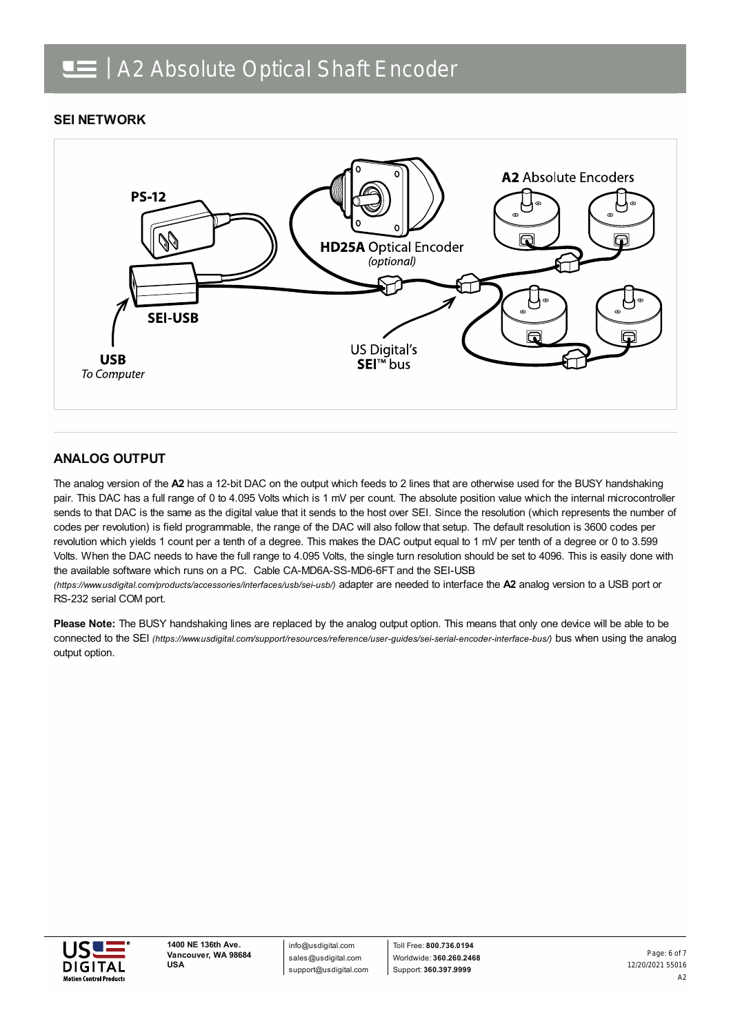#### **SEI NETWORK**



#### **ANALOG OUTPUT**

The analog version of the **A2** has a 12-bit DAC on the output which feeds to 2 lines that are otherwise used for the BUSY handshaking pair. This DAC has a full range of 0 to 4.095 Volts which is 1 mV per count. The absolute position value which the internal microcontroller sends to that DAC is the same as the digital value that it sends to the host over SEI. Since the resolution (which represents the number of codes per revolution) is field programmable, the range of the DAC will also follow that setup. The default resolution is 3600 codes per revolution which yields 1 count per a tenth of a degree. This makes the DAC output equal to 1 mV per tenth of a degree or 0 to 3.599 Volts. When the DAC needs to have the full range to 4.095 Volts, the single turn resolution should be set to 4096. This is easily done with the available software which runs on a PC. Cable CA-MD6A-SS-MD6-6FT and the SEI-USB

*(https://www.usdigital.com/products/accessories/interfaces/usb/sei-usb/)* adapter are needed to interface the **A2** analog version to a USB port or RS-232 serial COM port.

**Please Note:** The BUSY handshaking lines are replaced by the analog output option. This means that only one device will be able to be connected to the SEI *[\(https://www.usdigital.com/support/resources/reference/user-guides/sei-serial-encoder-interface-bus/\)](https://www.usdigital.com/support/resources/reference/user-guides/sei-serial-encoder-interface-bus/)* bus when using the analog output option.



info@usdigital.com sales@usdigital.com support@usdigital.com

Toll Free: **800.736.0194** Worldwide: **360.260.2468** Support: **360.397.9999**

12/20/2021 55016 A2 Page: 6 of 7